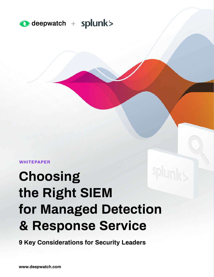

**WHITEPAPER**

# **Choosing the Right SIEM for Managed Detection & Response Service**

**9 Key Considerations for Security Leaders**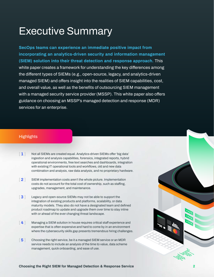# **Executive Summary**

**SecOps teams can experience an immediate positive impact from incorporating an analytics-driven security and information management (SIEM) solution into their threat detection and response approach. This white paper creates a framework for understanding the key differences among the different types of SIEMs (e.g., open-source, legacy, and analytics-driven managed SIEM) and offers insight into the realities of SIEM capabilities, cost, and overall value, as well as the benefits of outsourcing SIEM management with a managed security service provider (MSSP). This white paper also offers guidance on choosing an MSSP's managed detection and response (MDR) services for an enterprise.** 

#### **Highlights**

- **[ 1 ] Not all SIEMs are created equal. Analytics-driven SIEMs offer 'big data' ingestion and analysis capabilities, forensics, integrated reports, hybrid operational environments, free text searches and dashboards, integration with existing IT operational tools and workflows, old and new data combination and analysis, raw data analysis, and no proprietary hardware.**
- **[ 2 ] SIEM implementation costs aren't the whole picture. Implementation costs do not account for the total cost of ownership, such as staffing, upgrades, management, and maintenance.**
- **[ 3 ] Legacy and open-source SIEMs may not be able to support the integration of existing products and platforms, scalability, or data maturity models. They also do not have a designated team and defined product roadmap to update and upgrade them over time to stay inline with or ahead of the ever changing threat landscape.**
- **[ 4 ] Managing a SIEM solution in house requires critical staff experience and expertise that is often expensive and hard to come by in an environment where the cybersecurity skills gap presents tremendous hiring challenges.**
- **[ 5 ] Choosing the right service, be it a managed SIEM service or an MDR service needs to include an analysis of the time to value, data scheme management, quick onboarding, and ease of use.**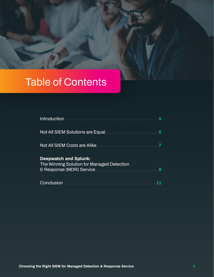# **Table of Contents**

| Not All SIEM Solutions are Equal <b>Constitutions</b> and All SIEM Solutions are Equal | 5 |
|----------------------------------------------------------------------------------------|---|
| Not All SIEM Costs are Alike                                                           |   |
| <b>Deepwatch and Splunk:</b><br>The Winning Solution for Managed Detection             | 9 |
|                                                                                        |   |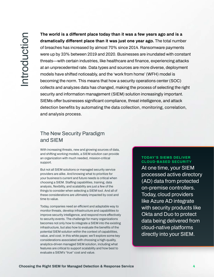<span id="page-3-0"></span>The **Choosing and is a Choosing three choosing the Right SIEM for Managed Detection & Response Service Detection and a statistic and ASC and CO2. Designed Water To the Right SIEM for Management CIEM solution in the stati The world is a different place today than it was a few years ago and is a dramatically different place than it was just one year ago. The total number of breaches has increased by almost 70% since 2014. Ransomware payments were up by 33% between 2019 and 2020. Businesses are inundated with constant threats—with certain industries, like healthcare and finance, experiencing attacks at an unprecedented rate. Data types and sources are more diverse, deployment models have shifted noticeably, and the 'work from home' (WFH) model is becoming the norm. This means that how a security operations center (SOC) collects and analyzes data has changed, making the process of selecting the right security and information management (SIEM) solution increasingly important. SIEMs offer businesses significant compliance, threat intelligence, and attack detection benefits by automating the data collection, monitoring, correlation, and analysis process.**

### **The New Security Paradigm and SIEM**

**With increasing threats, new and growing sources of data, and shifting working models, a SIEM solution can provide an organization with much needed, mission-critical support.** 

**But not all SIEM solutions or managed security service providers are alike. And knowing what to prioritize for your business's current and future needs is critical when choosing a SIEM. Staffing capabilities, training, data analysis, flexibility, and scalability are just a few of the things to consider when selecting a SIEM tool. And all of these considerations are ultimately impacted by cost and time to value.**

**Today, companies need an efficient and adaptable way to monitor threats, develop infrastructure and capabilities to improve security intelligence, and respond more effectively to security events. The challenge for many organizations becomes not only how to integrate a SIEM into the existing infrastructure, but also how to evaluate the benefits of the potential SIEM solution within the context of capabilities, value, and cost. In this white paper, we'll explore some key considerations associated with choosing a high-quality, analytics-driven managed SIEM solution, including what features are critical to support scalability and how best to evaluate a SIEM's "true" cost and value.**

#### **TODAY'S SIEMS DELIVER CLOUD-BASED SECURITY**

**At one time, your SIEM processed active directory (AD) data from protected on-premise controllers. Today, cloud providers like Azure AD integrate with security products like Okta and Duo to protect data being delivered from cloud-native platforms directly into your SIEM.**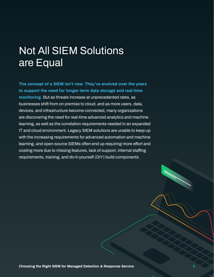# **Not All SIEM Solutions are Equal**

**The concept of a SIEM isn't new. They've evolved over the years to support the need for longer-term data storage and real-time monitoring. But as threats increase at unprecedented rates, as businesses shift from on premise to cloud, and as more users, data, devices, and infrastructure become connected, many organizations are discovering the need for real-time advanced analytics and machine learning, as well as the correlation requirements needed in an expanded IT and cloud environment. Legacy SIEM solutions are unable to keep up with the increasing requirements for advanced automation and machine learning, and open-source SIEMs often end up requiring more effort and costing more due to missing features, lack of support, internal staffing requirements, training, and do-it-yourself (DIY) build components.**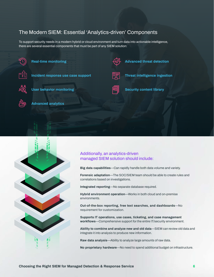## **The Modern SIEM: Essential 'Analytics-driven' Components**

**To support security needs in a modern hybrid or cloud environment and turn data into actionable intelligence, there are several essential components that must be part of any SIEM solution:**



**Real-time monitoring**



**Incident response use case support**



**User behavior monitoring**

**Advanced analytics**



**Security content library**

**Advanced threat detection**

**Threat intelligence ingestion**





#### **Additionally, an analytics-driven managed SIEM solution should include:**

**Big data capabilities—Can rapidly handle both data volume and variety.**

**Forensic adaptation—The SOC/SIEM team should be able to create rules and correlations based on investigations.**

**Integrated reporting—No separate database required.**

**Hybrid environment operation—Works in both cloud and on-premise environments.**

**Out-of-the-box reporting, free text searches, and dashboards—No requirement for customization.**

**Supports IT operations, use cases, ticketing, and case management workflows—Comprehensive support for the entire IT/security environment.**

**Ability to combine and analyze new and old data—SIEM can review old data and integrate it into analysis to produce new information.**

**Raw data analysis—Ability to analyze large amounts of raw data.**

**No proprietary hardware—No need to spend additional budget on infrastructure.**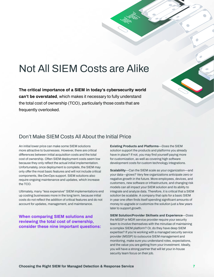# **Not All SIEM Costs are Alike**

**The critical importance of a SIEM in today's cybersecurity world can't be overstated, which makes it necessary to fully understand the total cost of ownership (TCO), particularly those costs that are frequently overlooked.** 

### **Don't Make SIEM Costs All About the Initial Price**

**An initial lower price can make some SIEM solutions more attractive to businesses. However, there are critical differences between initial acquisition costs and the total cost of ownership. Often SIEM deployment costs seem low because they only reflect the actual initial implementation. Unfortunately, once deployment is complete, the SIEM may only offer the most basic features and will not include critical components, like DevOps support. SIEM solutions also require ongoing maintenance and updates, which increase the TCO.** 

**Ultimately, many "less expensive" SIEM implementations end up costing businesses more in the long term, because initial costs do not reflect the addition of critical features and do not account for updates, management, and maintenance.** 

#### **When comparing SIEM solutions and reviewing the total cost of ownership, consider these nine important questions:**

**Existing Products and Platforms—Does the SIEM solution support the products and platforms you already have in place? If not, you may find yourself paying more for customization, as well as covering high software development costs for custom technology integrations.**

**Scalability—Can the SIEM scale as your organization—and your data—grows? Very few organizations anticipate zero or negative growth in the future. More employees, devices, and customers, new software or infrastructure, and changing risk models can all impact your SIEM solution and its ability to integrate and analyze data. Therefore, it is critical that a SIEM solution be scalable. A company that opts for a basic SIEM in year one often finds itself spending significant amounts of money to upgrade or customize the solution just a few years later to support growth.** 

**SIEM Solution/Provider Skillsets and Experience—Does the MSSP or MDR service provider require your security team to involve themselves with the minutiae of maintaining a complex SIEM platform? Or, do they have deep SIEM expertise? If you're working with a managed security service provider (MSSP) to outsource SIEM management and monitoring, make sure you understand roles, expectations, and the value you are getting from your investment. Ideally, you will have a strong partner that will let your in-house security team focus on their job.**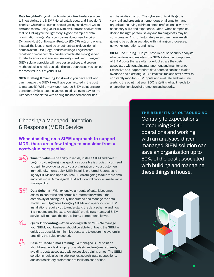**Data Insight—Do you know how to prioritize the data sources to integrate into the SIEM? Not all data is equal and if you don't prioritize which data sources should get ingested, you'll waste time and money using your SIEM to evaluate and analyze data that isn't telling you the right story. A good example of data prioritization is logs. Many companies do not need to bring in Dynamic Host Configuration Protocol (DHCP) logs on day one. Instead, the focus should be on authentication logs, domain name system (DNS) logs, and firewall logs. Logs that are "chattier" or more complex can be stored in the syslog server for later forensics and analysis. An analytics-driven, managed SIEM solution/provider will have best practices and proven methodologies to help you prioritize data sources so you can get the most value out of your SIEM.**

**SIEM Staffing & Training Costs—Do you have staff who can manage the SIEM? And have you factored in the cost to manage it? While many open-source SIEM solutions are considerably less expensive, you're still going to pay for the DIY costs associated with adding the needed capabilities—** **and herein lies the rub. The cybersecurity skills gap is very real and presents a tremendous challenge to many organizations trying to hire talented professionals with the necessary skills and experience. Often, when companies do find the right person, salary and training costs may be considerable. And, unfortunately, even then there are still going to be costs associated with training on processes, networks, operations, and risks.** 

**SIEM Fine Tuning—Do you have in-house security analysts who can tune and maintain the SIEM? Another component of SIEM costs that are often overlooked are the costs associated with ongoing management and maintenance. Excessive and inappropriate data sources can lead to alert overload and alert fatigue. But it takes time and staff power to constantly monitor SIEM inputs and evaluate and fine-tune alerts to the point that your SOC is getting what it needs to ensure the right level of protection and security.**

## **Choosing a Managed Detection & Response (MDR) Service**

#### **When deciding on a SIEM approach to support MDR, there are a few things to consider from a cost/value perspective.**

**Time to Value—The ability to rapidly install a SIEM and have it begin providing insight as quickly as possible is crucial. If you need to begin to provide value to your organization or your customers immediately, then a quick SIEM install is preferred. Upgrades to legacy SIEMs and open-source SIEMs are going to take more time and cost more. A managed SIEM solution will provide time to value more quickly.**

**Data Schema—With extensive amounts of data, it becomes critical to centralize and normalize information without the complexity of having to fully understand and manage the data model itself. Upgrades to legacy SIEMs and open-source SIEM installations require you to understand the data scheme and how it is ingested and indexed. An MSSP providing a managed SIEM service will manage the data schema components for you.**



**Quick Onboarding**—When working with an MSSP to manage **your SIEM, your business should be able to onboard the SIEM as quickly as possible to minimize costs and to ensure the system is providing the value expected.**



 **Ease of Use/Minimal Training—A managed SIEM solution should enable a fast ramp up of analysts and engineers thereby avoiding costs associated with excessive training times. The SIEM solution should also include free text search, auto suggestions, and search history preferences to facilitate ease of use.**

#### **THE BENEFITS OF OUTSOURCING**

**Contrary to expectations, outsourcing SOC operations and working with an analytics-driven managed SIEM solution can save an organization up to 80% of the cost associated with building and managing these things in house.**

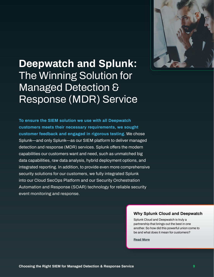

# **Deepwatch and Splunk: The Winning Solution for Managed Detection & Response (MDR) Service**

**To ensure the SIEM solution we use with all Deepwatch customers meets their necessary requirements, we sought customer feedback and engaged in rigorous testing. We chose Splunk—and only Splunk—as our SIEM platform to deliver managed detection and response (MDR) services. Splunk offers the modern capabilities our customers want and need, such as unmatched big data capabilities, raw data analysis, hybrid deployment options, and integrated reporting. In addition, to provide even more comprehensive security solutions for our customers, we fully integrated Splunk into our Cloud SecOps Platform and our Security Orchestration Automation and Response (SOAR) technology for reliable security event monitoring and response.** 

#### **Why Splunk Cloud and Deepwatch**

**Splunk Cloud and Deepwatch is truly a partnership that brings out the best in one another. So how did this powerful union come to be and what does it mean for customers?**

**[Read More](https://www.deepwatch.com/blog/why-splunk-cloud-and-deepwatch/)**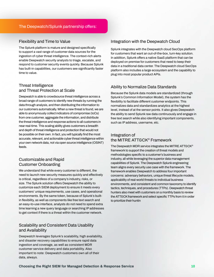#### **Flexibility and Time to Value**

**The Splunk platform is mature and designed specifically to support a vast range of customer data sources for the ingestion of cyber threat intelligence. The context-rich alerts enable Deepwatch security analysts to triage, escalate, and respond to customer security events quickly. Because Splunk has built-in capabilities, our customers see significantly faster time to value.**

#### **Threat Intelligence and Threat Protection at Scale**

**Deepwatch is able to crowdsource threat intelligence across a broad range of customers to identify new threats by running the data through analysis, and then distributing the information to our customers automatically. When a new threat is found, we are able to anonymously collect indicators of compromise (IoCs) from one customer, aggregate the information, and distribute the threat intelligence and response actions to all customers in near real-time. This scaling ability gives customers a breadth and depth of threat intelligence and protection that would not be possible on their own. In fact, you will typically find the most accurate, relevant, and actionable cyber threat intelligence within your own network data, not via open source intelligence (OSINT) feeds.**

#### **Customizable and Rapid Customer Onboarding**

**We understand that while every customer is different, the need to launch new security measures quickly and effectively is critical, regardless of a company's industry, risks, or size. The Splunk solution offers Deepwatch the ability to customize each SIEM deployment to ensure it meets every customers' unique requirements, use cases, and operational environments. By the same token, because of Splunk's builtin flexibility, as well as components like free text search and an easy-to-use interface, analysts do not need to spend extra time learning a new query language or searching IP addresses to get context if there is a threat within the customer network.**

#### **Scalability and Consistent Data Usability and Availability**

**Deepwatch leverages Splunk's scalability, high availability, and disaster recovery capabilities to ensure rapid data ingestion and coverage, as well as consistent MDR customer service delivery and data portability. Also important to note: Deepwatch customers own all of their data, always.** 

#### **Integration with the Deepwatch Cloud**

**Splunk integrates with the Deepwatch cloud SecOps platform for customers that want an out-of-the-box, turn-key solution. In addition, Splunk offers a native SaaS platform that can be deployed on premise for customers that need to keep their data in a traditional data center. The Deepwatch cloud SecOps platform also includes a large ecosystem and the capability to plug into most popular product APIs.**

#### **Ability to Normalize Data Standards**

**Because the Splunk data models are standardized (through Splunk's Common Information Model), the system has the flexibility to facilitate different customer endpoints. This normalizes data and standardizes analytics at the highest level, instead of at the sensor points. It also gives Deepwatch the ability to send Splunk raw data continuously and engage in free text search while also identifying important components, such as IP address, username, etc.**

#### **Integration of the MITRE ATT&CK® Framework**

**The Deepwatch MDR service integrates the MITRE ATT&CK® framework to support the creation of threat models and methodologies specific to a customer's business and industry, all while leveraging the superior data management capabilities of Splunk. The Deepwatch Splunk engineering team aligns every security use case with the framework. The framework enables Deepwatch to address four important concerns: adversary behaviors, unique threat lifecycle models, applicability of real-world threats to individual business environments, and consistent and common taxonomy to identify tactics, techniques, and procedures (TTPs). Deepwatch threat hunters also meet with customers on a monthly basis to review the ATT&CK framework and select specific TTPs from it in order to prioritize their huntin**